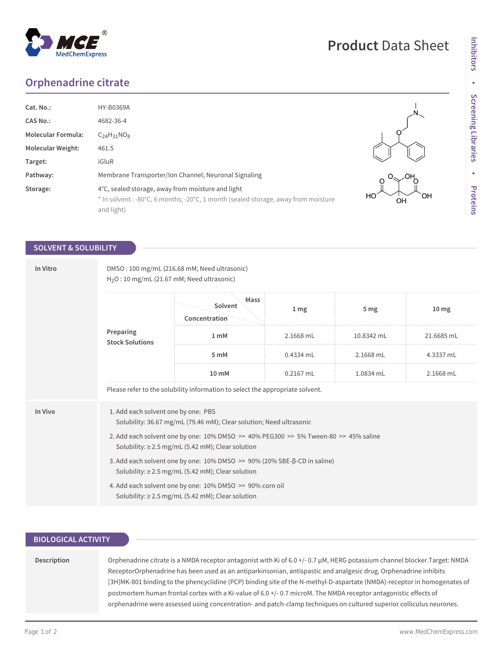# **Orphenadrine citrate**

| Cat. No.:                 | <b>HY-B0369A</b>                                                                                                                                      |
|---------------------------|-------------------------------------------------------------------------------------------------------------------------------------------------------|
| CAS No.:                  | 4682-36-4                                                                                                                                             |
| <b>Molecular Formula:</b> | $C24H31NO8$                                                                                                                                           |
| <b>Molecular Weight:</b>  | 461.5                                                                                                                                                 |
| Target:                   | iGluR                                                                                                                                                 |
| Pathway:                  | Membrane Transporter/Ion Channel; Neuronal Signaling                                                                                                  |
| Storage:                  | 4°C, sealed storage, away from moisture and light<br>* In solvent : -80°C, 6 months; -20°C, 1 month (sealed storage, away from moisture<br>and light) |

# **SOLVENT & SOLUBILITY**

| In Vitro | DMSO: 100 mg/mL (216.68 mM; Need ultrasonic)<br>$H2O$ : 10 mg/mL (21.67 mM; Need ultrasonic)                                                  |                                  |                 |                 |                  |  |  |
|----------|-----------------------------------------------------------------------------------------------------------------------------------------------|----------------------------------|-----------------|-----------------|------------------|--|--|
|          | Preparing<br><b>Stock Solutions</b>                                                                                                           | Mass<br>Solvent<br>Concentration | 1 <sub>mg</sub> | 5 <sub>mg</sub> | 10 <sub>mg</sub> |  |  |
|          |                                                                                                                                               | 1 <sub>m</sub> M                 | 2.1668 mL       | 10.8342 mL      | 21.6685 mL       |  |  |
|          |                                                                                                                                               | 5 mM                             | 0.4334 mL       | 2.1668 mL       | 4.3337 mL        |  |  |
|          |                                                                                                                                               | 10 mM                            | $0.2167$ mL     | 1.0834 mL       | 2.1668 mL        |  |  |
|          | Please refer to the solubility information to select the appropriate solvent.                                                                 |                                  |                 |                 |                  |  |  |
| In Vivo  | 1. Add each solvent one by one: PBS<br>Solubility: 36.67 mg/mL (79.46 mM); Clear solution; Need ultrasonic                                    |                                  |                 |                 |                  |  |  |
|          | 2. Add each solvent one by one: 10% DMSO >> 40% PEG300 >> 5% Tween-80 >> 45% saline<br>Solubility: $\geq$ 2.5 mg/mL (5.42 mM); Clear solution |                                  |                 |                 |                  |  |  |
|          | 3. Add each solvent one by one: 10% DMSO >> 90% (20% SBE-β-CD in saline)<br>Solubility: $\geq$ 2.5 mg/mL (5.42 mM); Clear solution            |                                  |                 |                 |                  |  |  |
|          | 4. Add each solvent one by one: 10% DMSO >> 90% corn oil<br>Solubility: $\geq$ 2.5 mg/mL (5.42 mM); Clear solution                            |                                  |                 |                 |                  |  |  |

## **BIOLOGICAL ACTIVITY**

### **Description**

Orphenadrine citrate is a NMDA receptor antagonist with Ki of 6.0 +/- 0.7 μM, HERG potassium channel blocker.Target: NMDA ReceptorOrphenadrine has been used as an antiparkinsonian, antispastic and analgesic drug. Orphenadrine inhibits [3H]MK-801 binding to the phencyclidine (PCP) binding site of the N-methyl-D-aspartate (NMDA)-receptor in homogenates of postmortem human frontal cortex with a Ki-value of 6.0 +/- 0.7 microM. The NMDA receptor antagonistic effects of orphenadrine were assessed using concentration- and patch-clamp techniques on cultured superior colliculus neurones.





**Product** Data Sheet